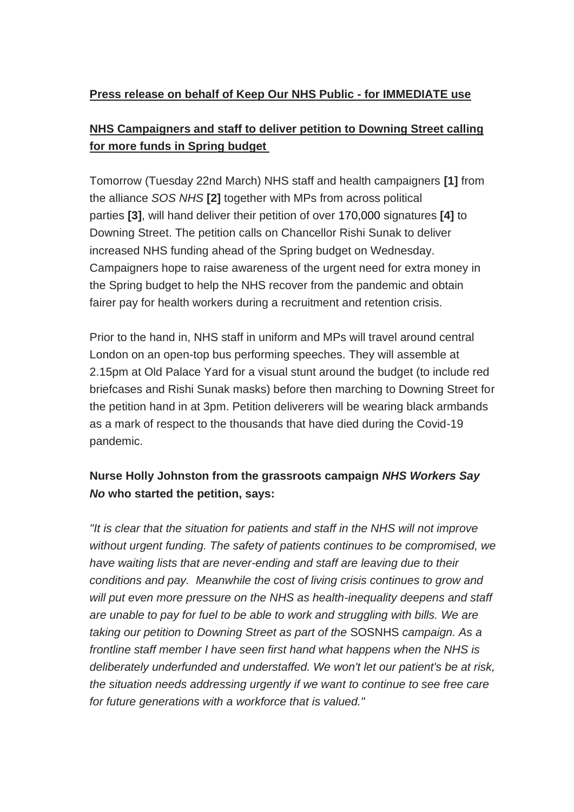#### **Press release on behalf of Keep Our NHS Public - for IMMEDIATE use**

# **NHS Campaigners and staff to deliver petition to Downing Street calling for more funds in Spring budget**

Tomorrow (Tuesday 22nd March) NHS staff and health campaigners **[1]** from the alliance *SOS NHS* **[2]** together with MPs from across political parties **[3]**, will hand deliver their petition of over 170,000 signatures **[4]** to Downing Street. The petition calls on Chancellor Rishi Sunak to deliver increased NHS funding ahead of the Spring budget on Wednesday. Campaigners hope to raise awareness of the urgent need for extra money in the Spring budget to help the NHS recover from the pandemic and obtain fairer pay for health workers during a recruitment and retention crisis.

Prior to the hand in, NHS staff in uniform and MPs will travel around central London on an open-top bus performing speeches. They will assemble at 2.15pm at Old Palace Yard for a visual stunt around the budget (to include red briefcases and Rishi Sunak masks) before then marching to Downing Street for the petition hand in at 3pm. Petition deliverers will be wearing black armbands as a mark of respect to the thousands that have died during the Covid-19 pandemic.

# **Nurse Holly Johnston from the grassroots campaign** *NHS Workers Say No* **who started the petition, says:**

*"It is clear that the situation for patients and staff in the NHS will not improve without urgent funding. The safety of patients continues to be compromised, we have waiting lists that are never-ending and staff are leaving due to their conditions and pay. Meanwhile the cost of living crisis continues to grow and will put even more pressure on the NHS as health-inequality deepens and staff are unable to pay for fuel to be able to work and struggling with bills. We are taking our petition to Downing Street as part of the* SOSNHS *campaign. As a frontline staff member I have seen first hand what happens when the NHS is deliberately underfunded and understaffed. We won't let our patient's be at risk, the situation needs addressing urgently if we want to continue to see free care for future generations with a workforce that is valued."*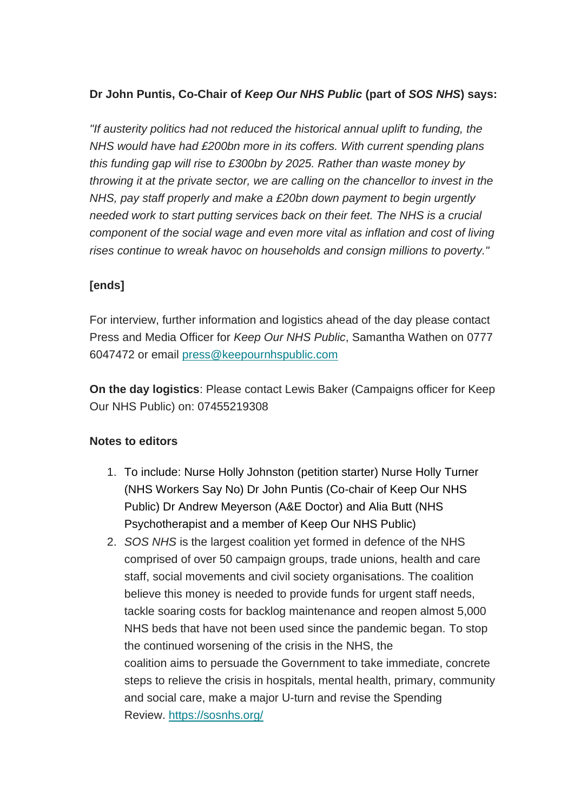### **Dr John Puntis, Co-Chair of** *Keep Our NHS Public* **(part of** *SOS NHS***) says:**

*"If austerity politics had not reduced the historical annual uplift to funding, the NHS would have had £200bn more in its coffers. With current spending plans this funding gap will rise to £300bn by 2025. Rather than waste money by throwing it at the private sector, we are calling on the chancellor to invest in the NHS, pay staff properly and make a £20bn down payment to begin urgently needed work to start putting services back on their feet. The NHS is a crucial component of the social wage and even more vital as inflation and cost of living rises continue to wreak havoc on households and consign millions to poverty."*

### **[ends]**

For interview, further information and logistics ahead of the day please contact Press and Media Officer for *Keep Our NHS Public*, Samantha Wathen on 0777 6047472 or email [press@keepournhspublic.com](mailto:press@keepournhspublic.com?subject=Inquiry%20about%20petition%20hand-in)

**On the day logistics**: Please contact Lewis Baker (Campaigns officer for Keep Our NHS Public) on: 07455219308

#### **Notes to editors**

- 1. To include: Nurse Holly Johnston (petition starter) Nurse Holly Turner (NHS Workers Say No) Dr John Puntis (Co-chair of Keep Our NHS Public) Dr Andrew Meyerson (A&E Doctor) and Alia Butt (NHS Psychotherapist and a member of Keep Our NHS Public)
- 2. *SOS NHS* is the largest coalition yet formed in defence of the NHS comprised of over 50 campaign groups, trade unions, health and care staff, social movements and civil society organisations. The coalition believe this money is needed to provide funds for urgent staff needs, tackle soaring costs for backlog maintenance and reopen almost 5,000 NHS beds that have not been used since the pandemic began. To stop the continued worsening of the crisis in the NHS, the coalition aims to persuade the Government to take immediate, concrete steps to relieve the crisis in hospitals, mental health, primary, community and social care, make a major U-turn and revise the Spending Review. <https://sosnhs.org/>